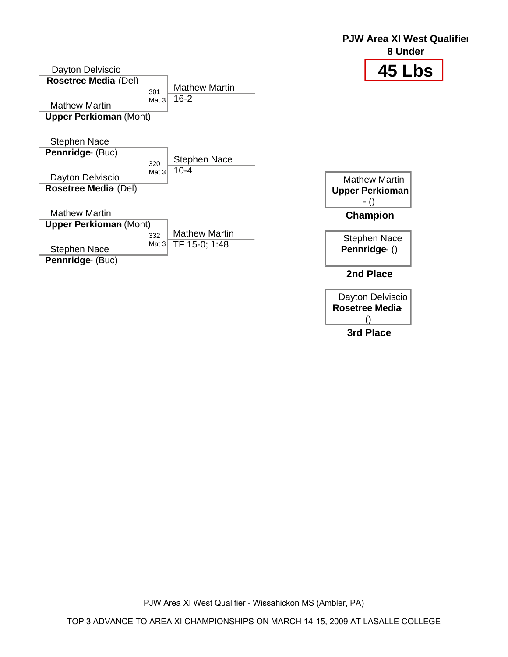

() **3rd Place**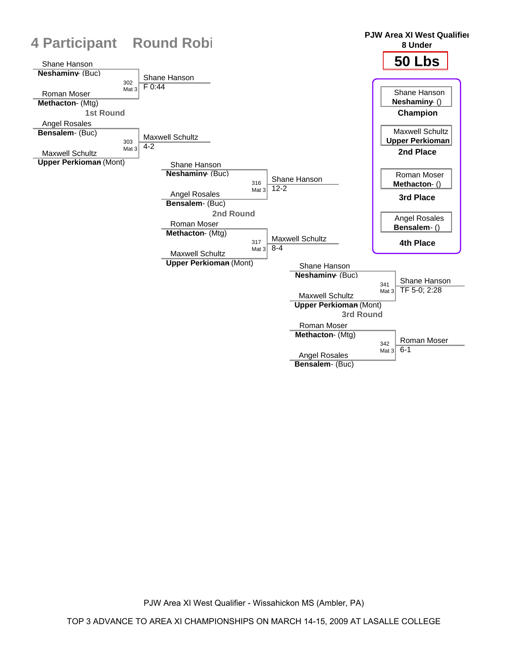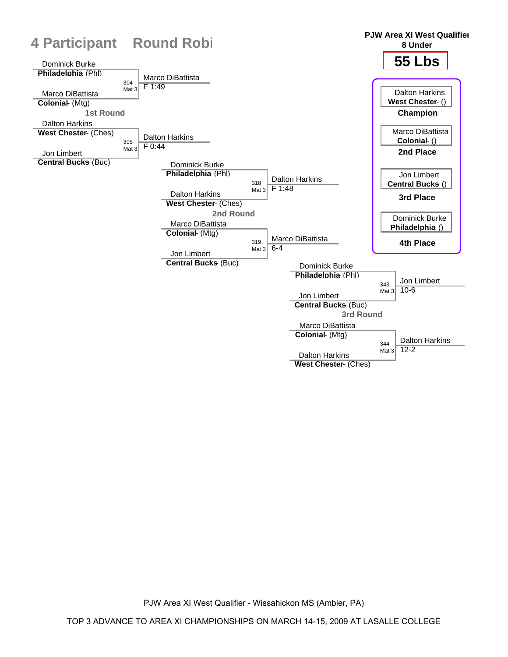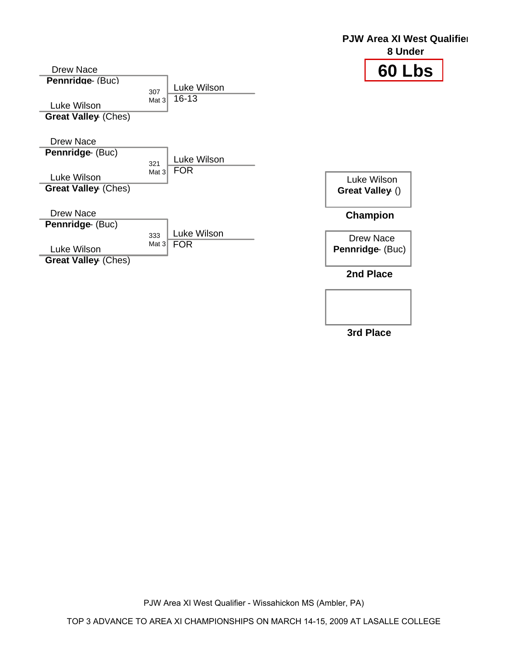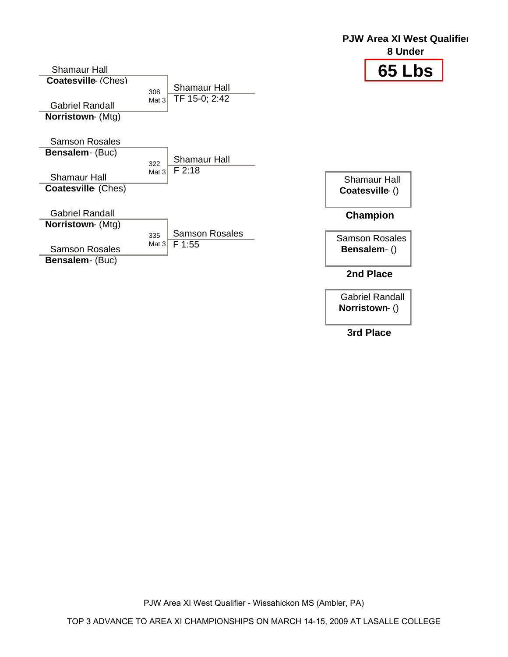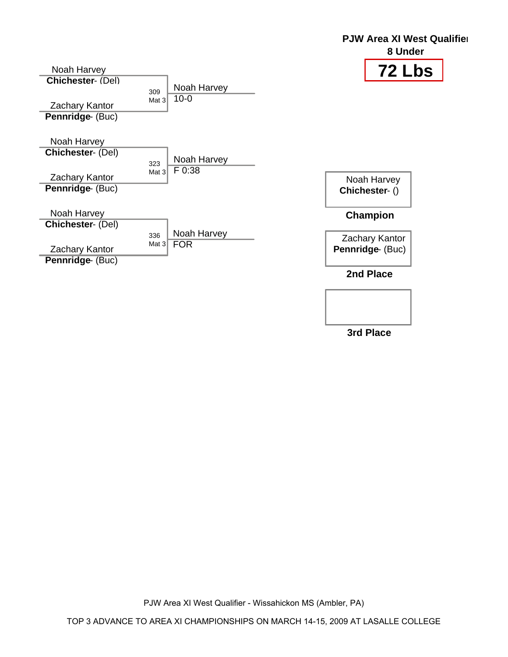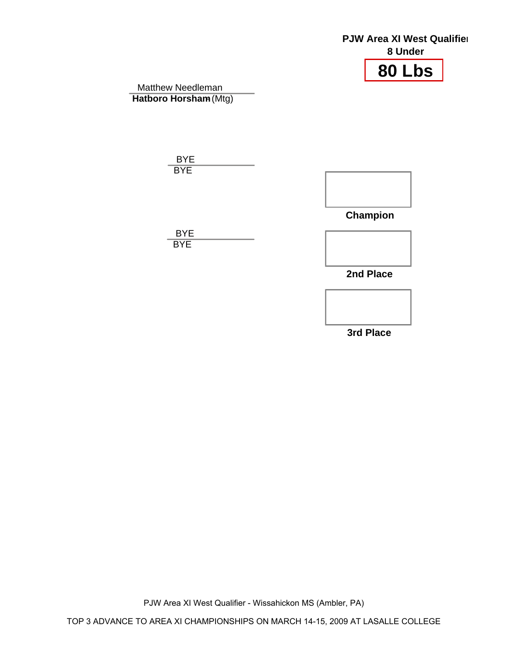## **80 Lbs PJW Area XI West Qualifier 8 Under** Matthew Needleman **Hatboro Horsham (Mtg)**  BYE **BYE Champion 2nd Place** BYE **BYE**

**3rd Place**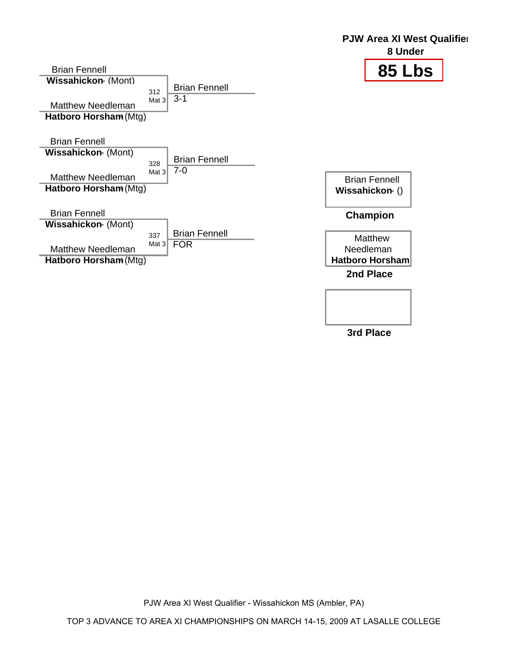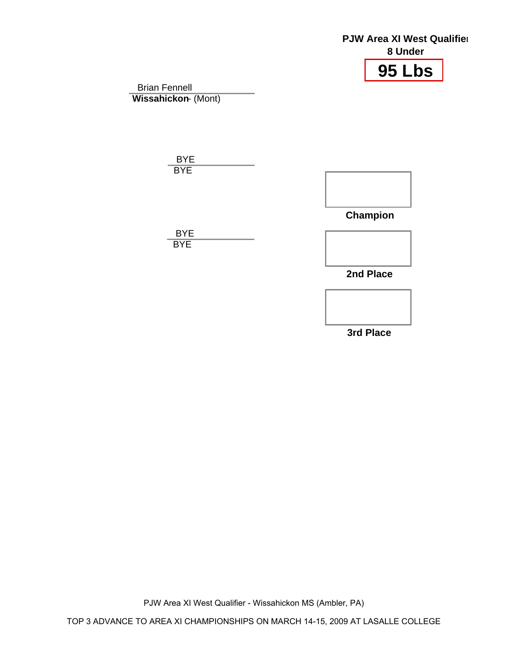## **95 Lbs PJW Area XI West Qualifier 8 Under** Brian Fennell **Wissahickon- (Mont)**  BYE **BYE Champion 2nd Place** BYE **BYE**

**3rd Place**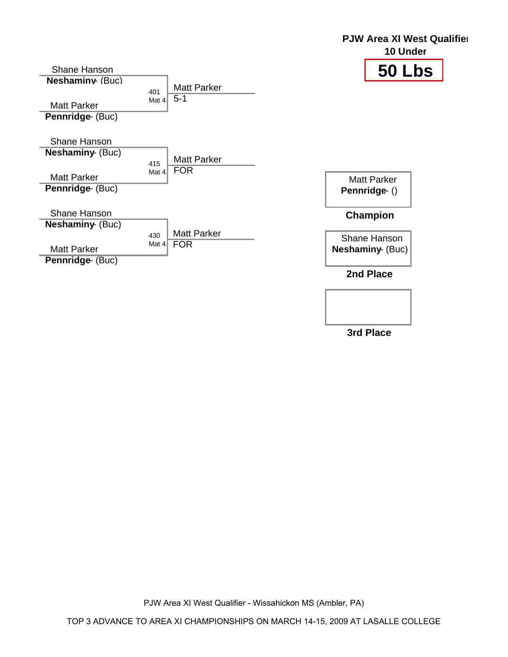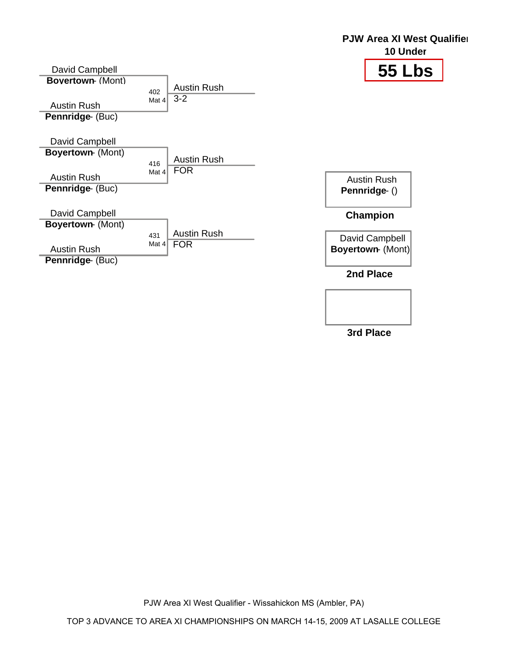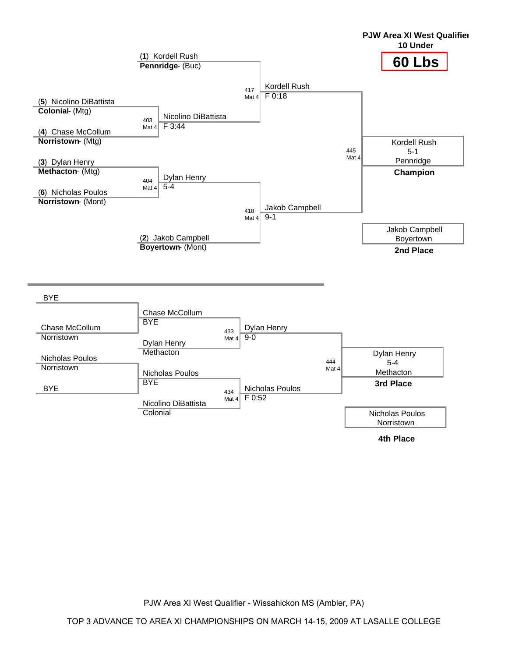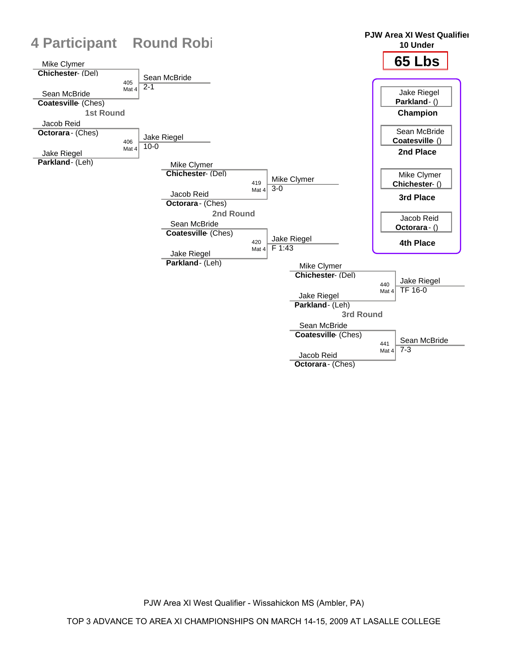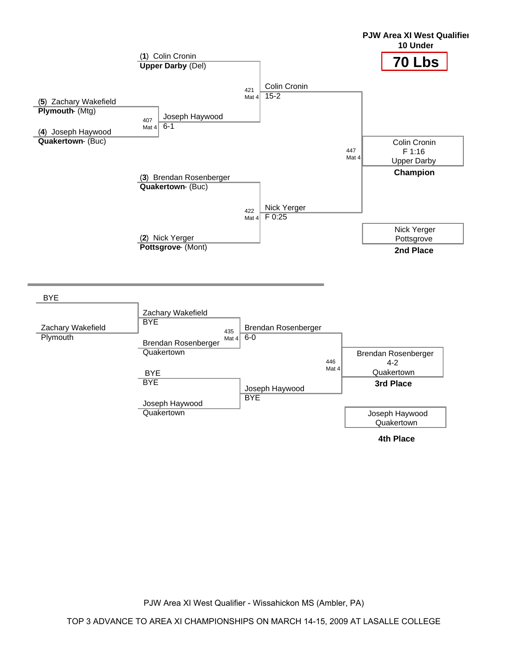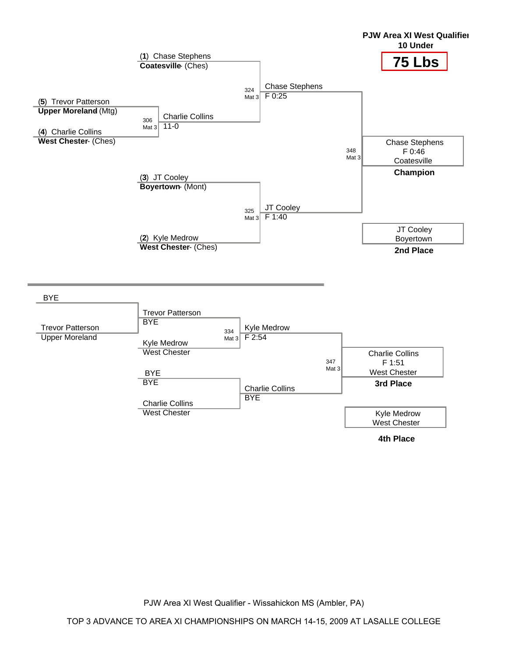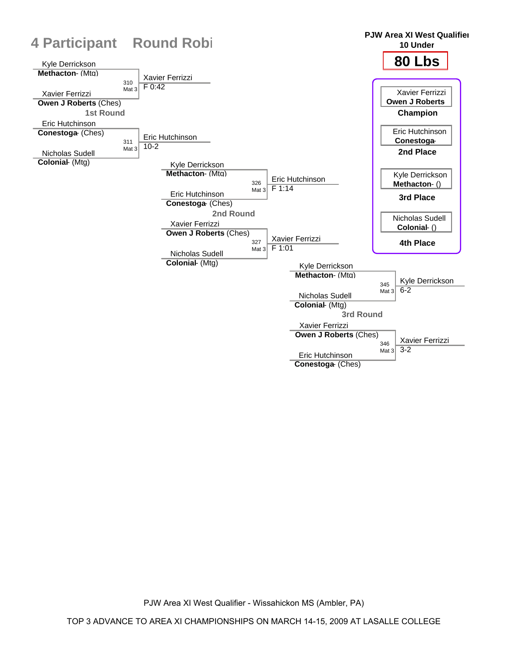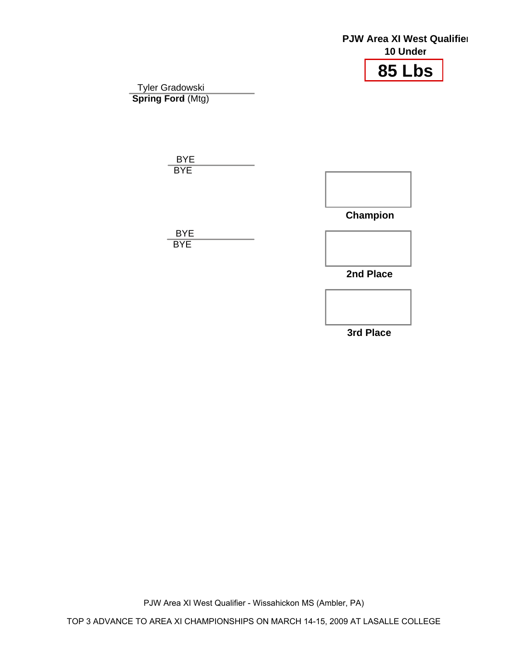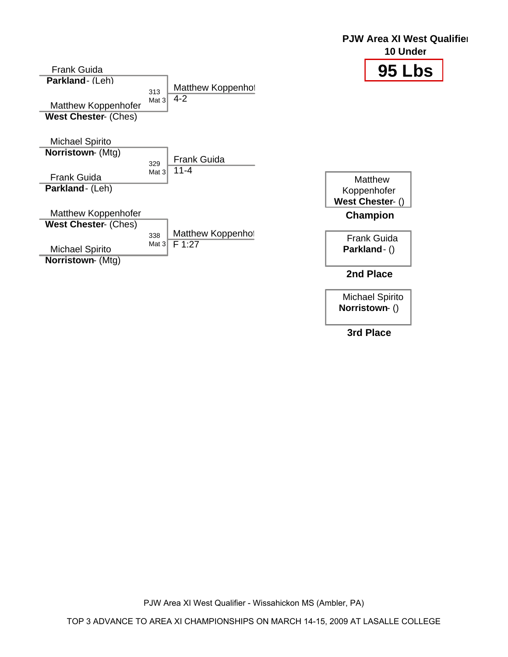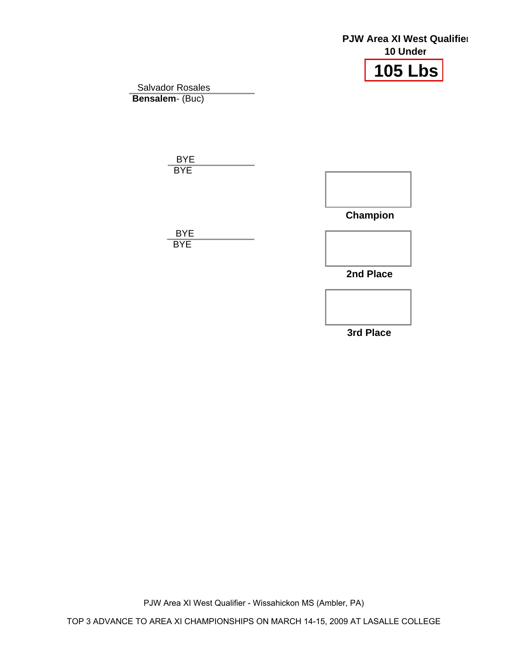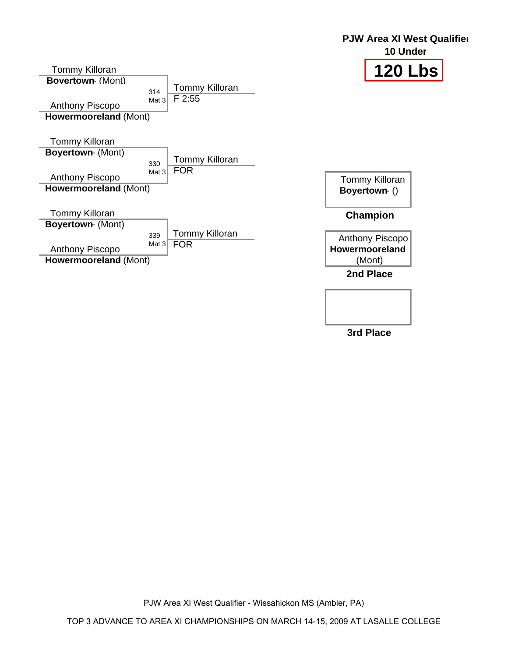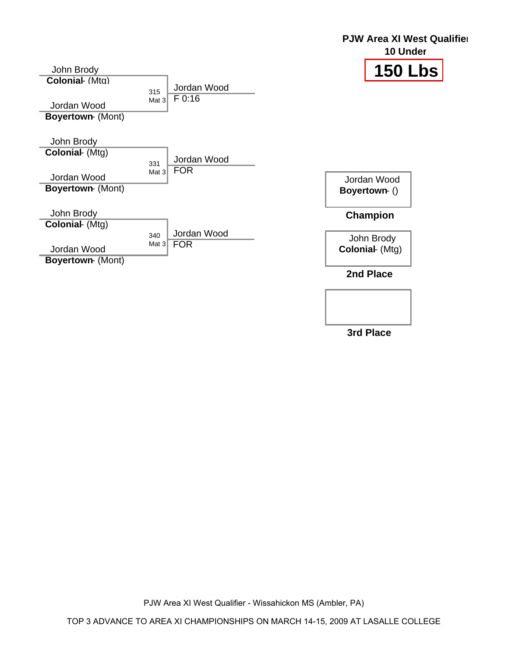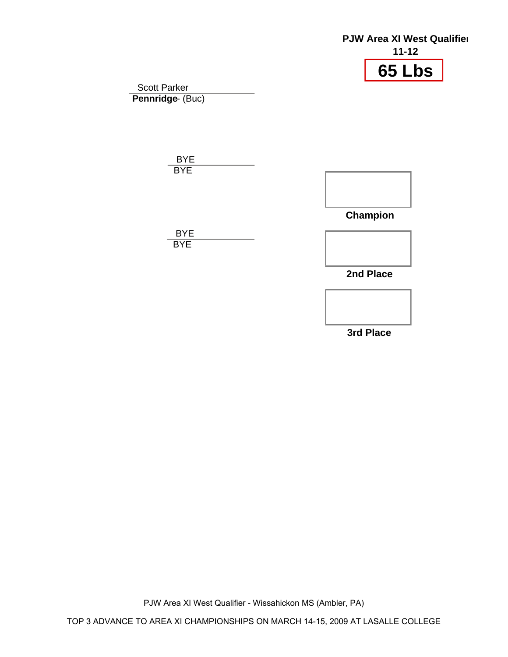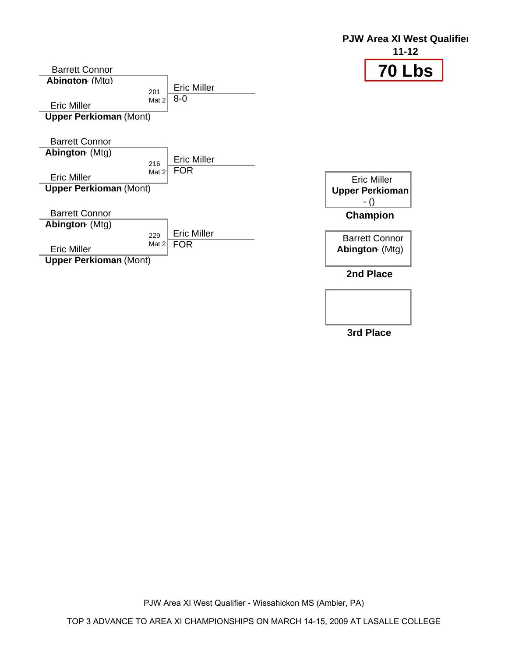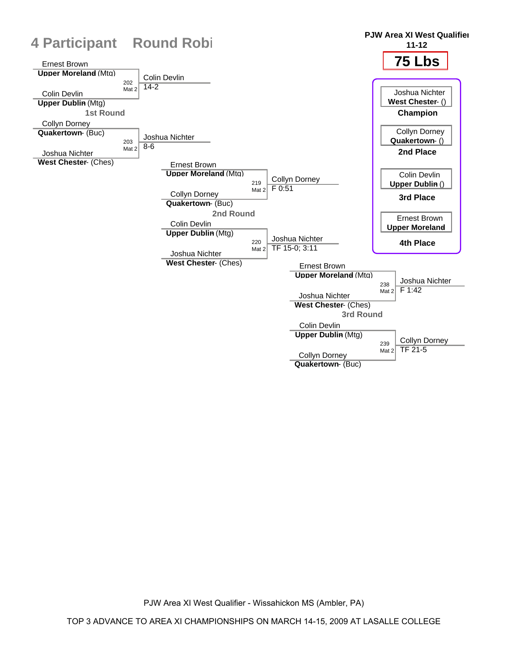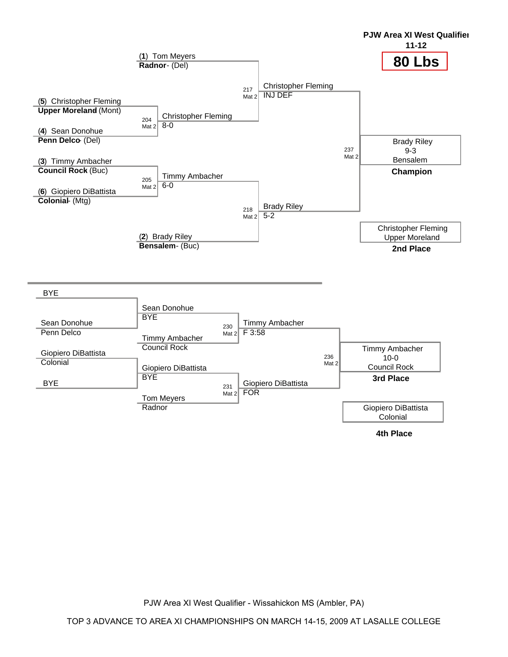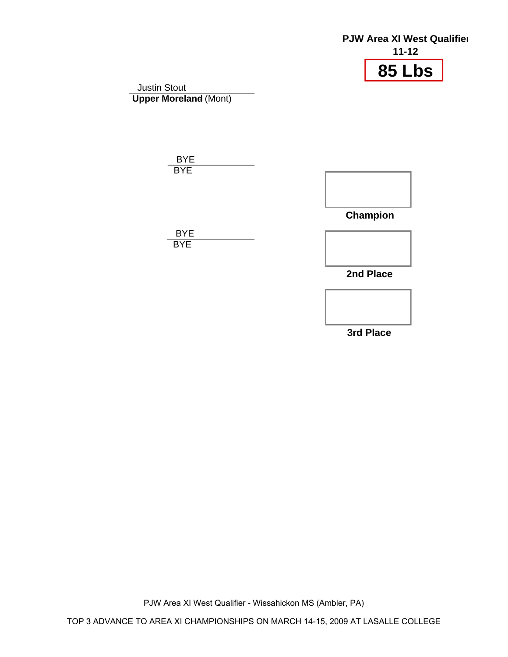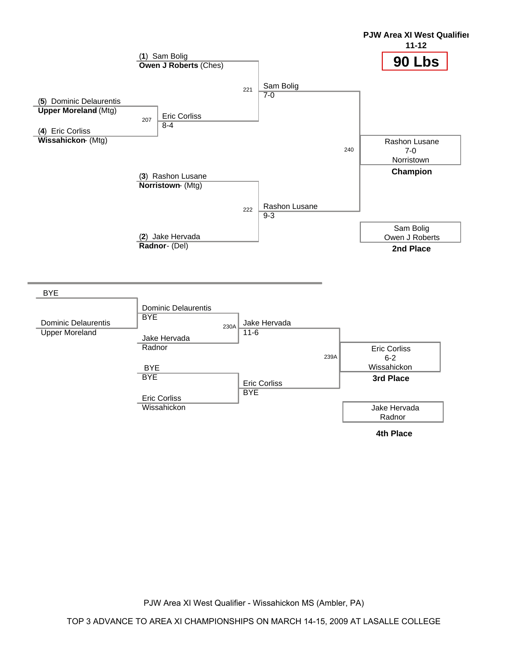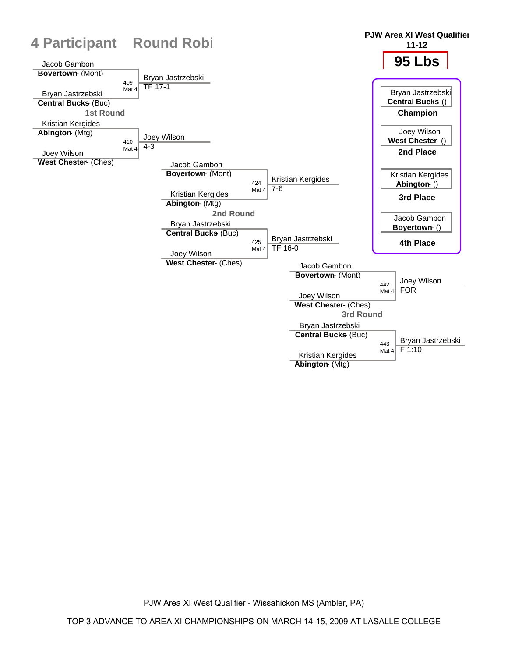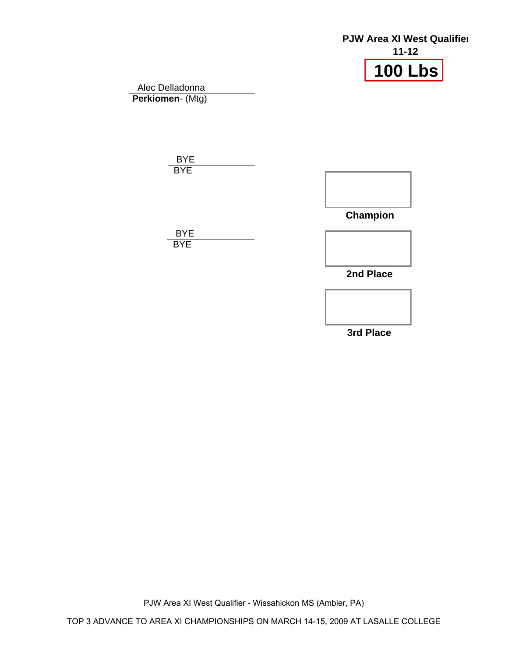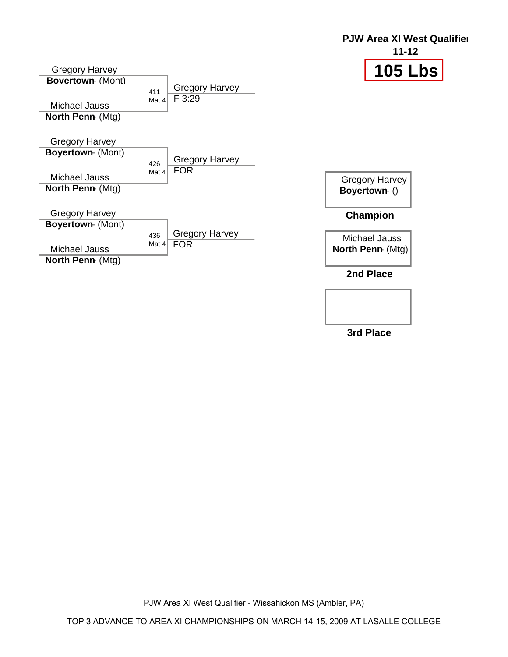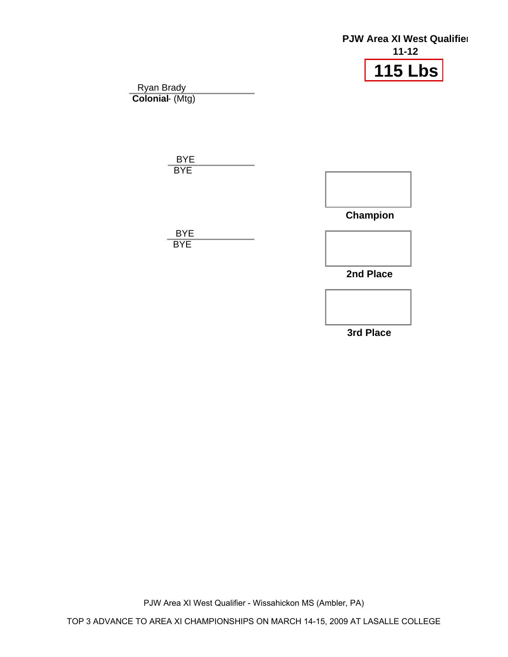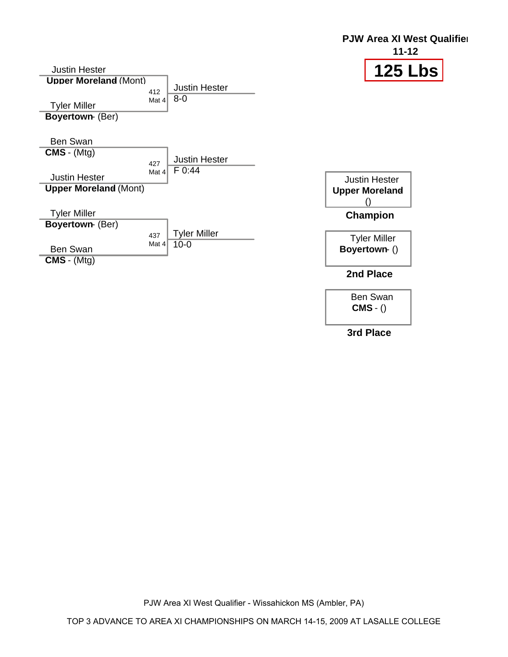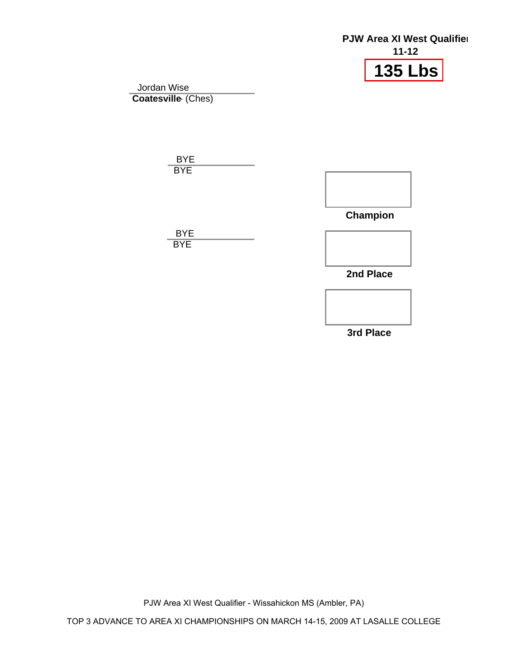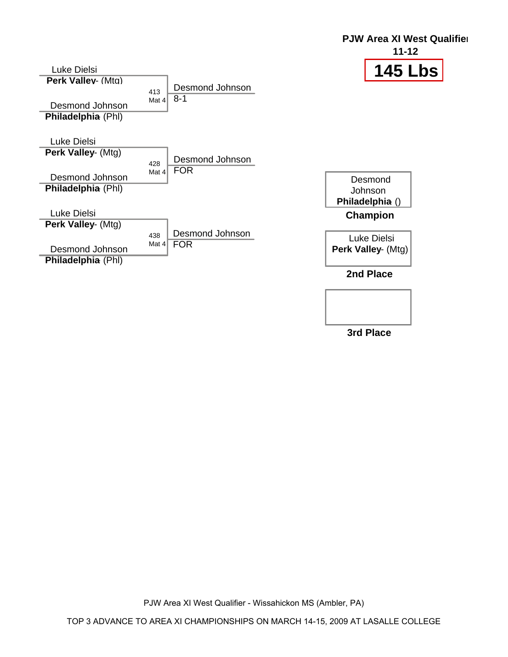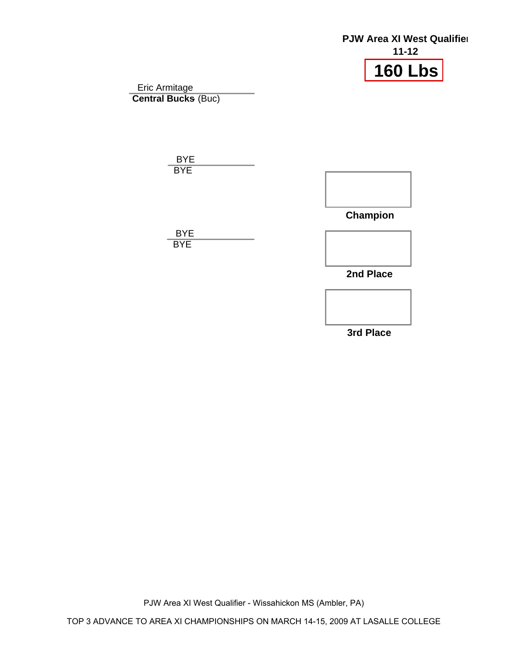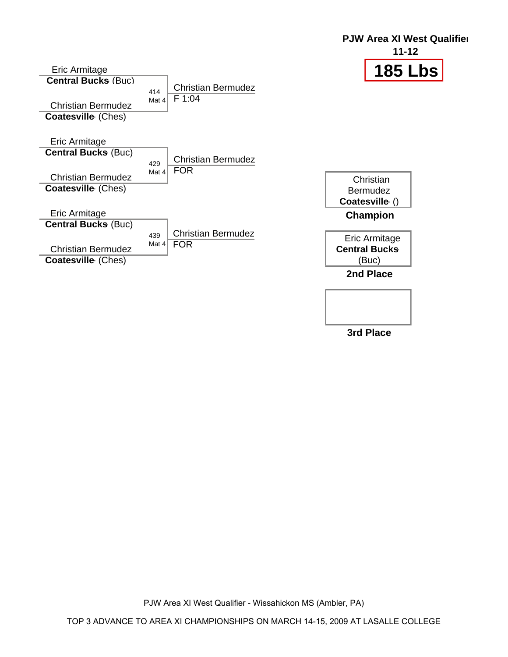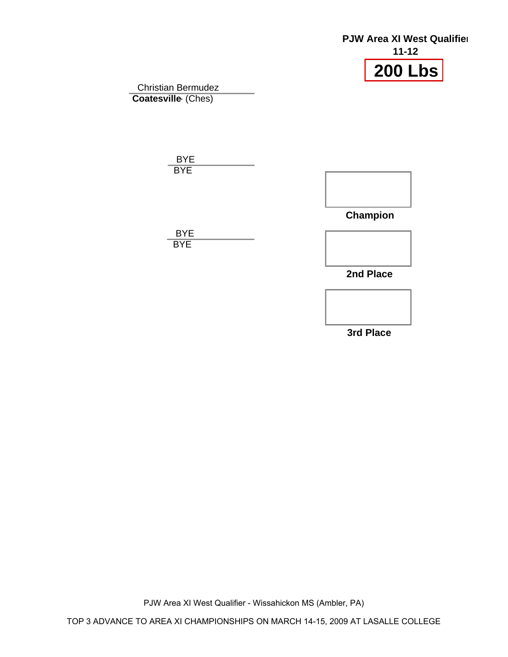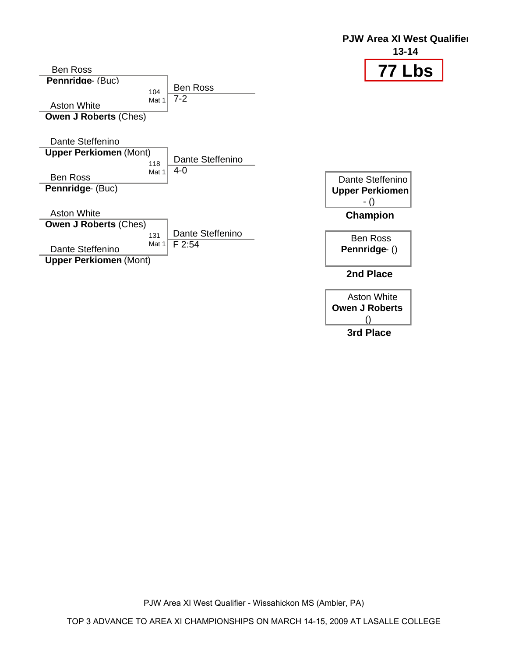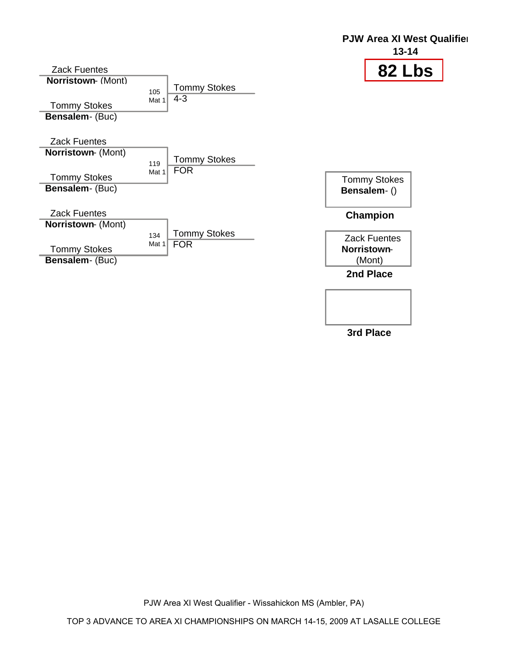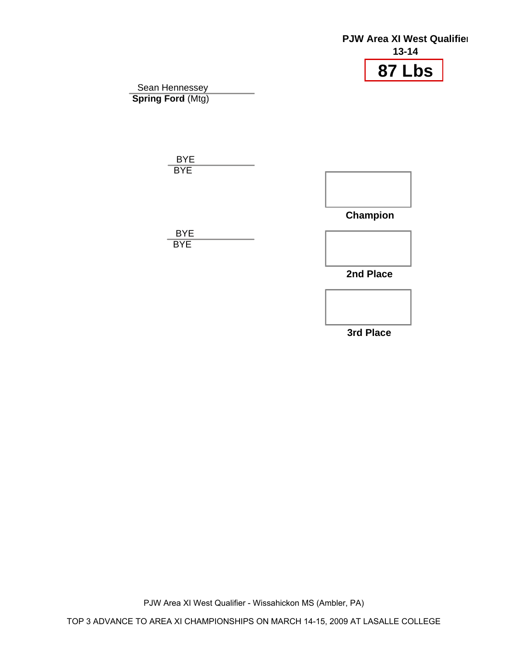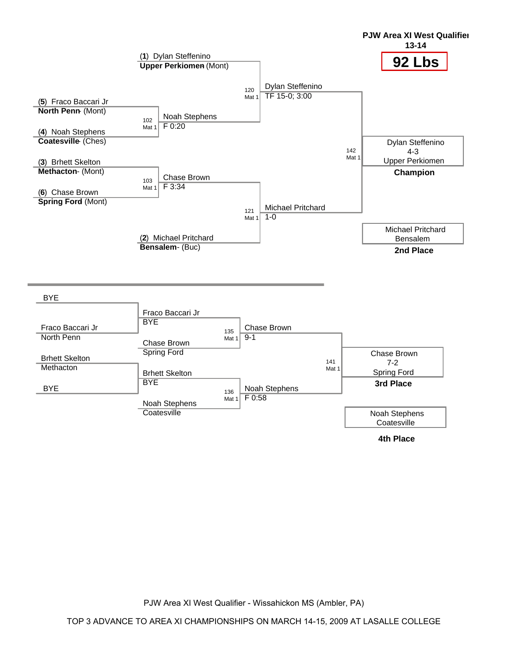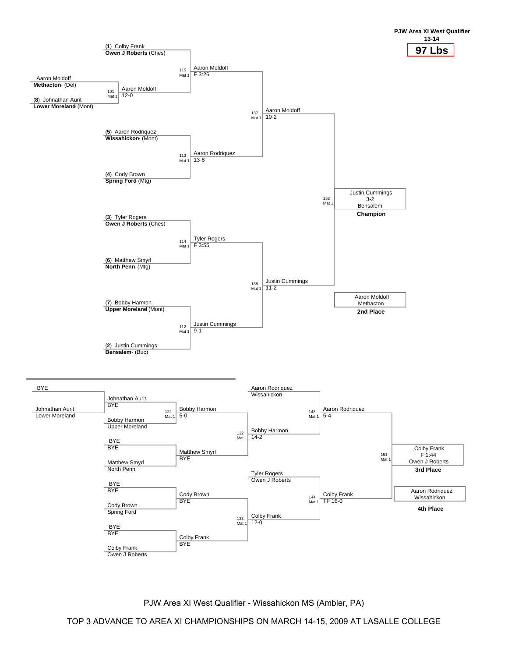

TOP 3 ADVANCE TO AREA XI CHAMPIONSHIPS ON MARCH 14-15, 2009 AT LASALLE COLLEGE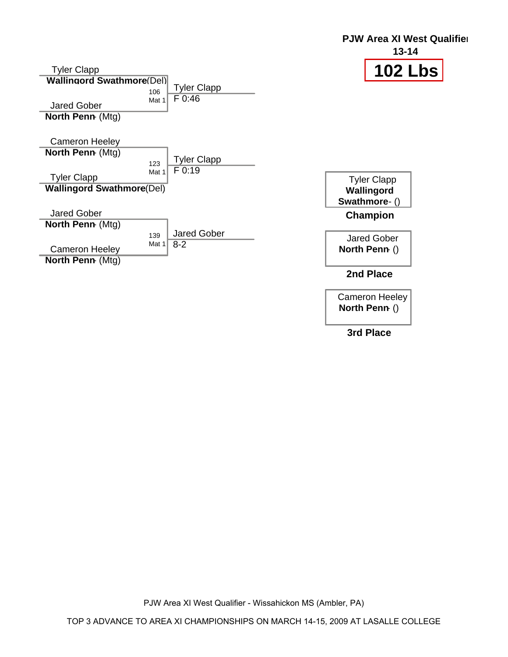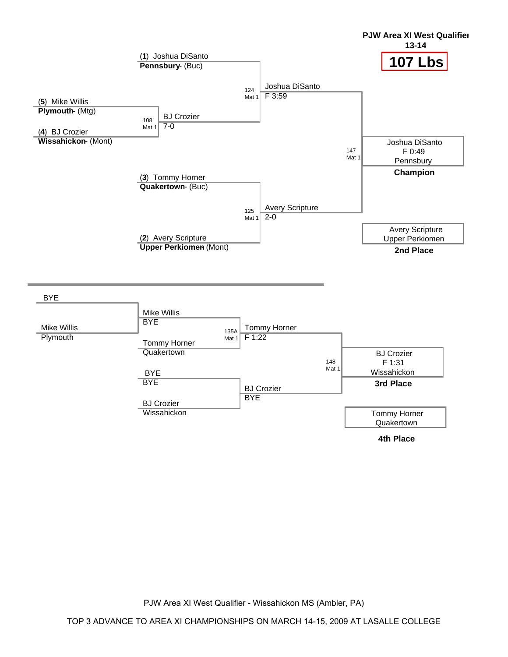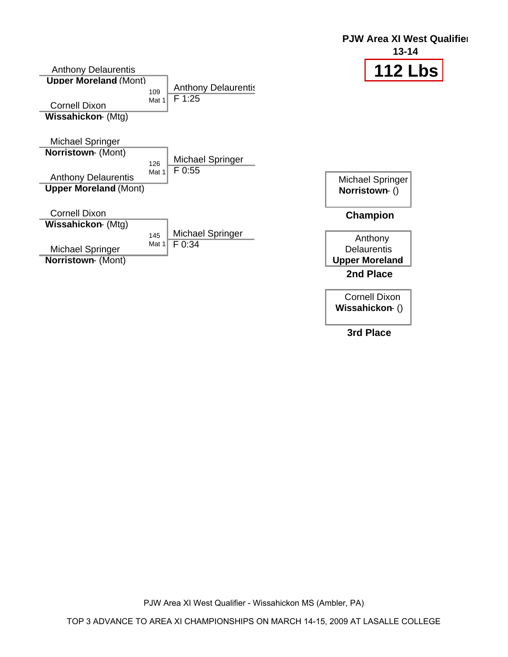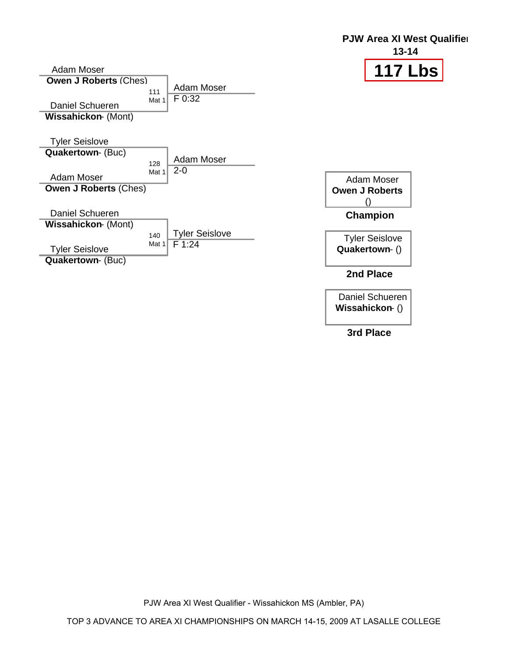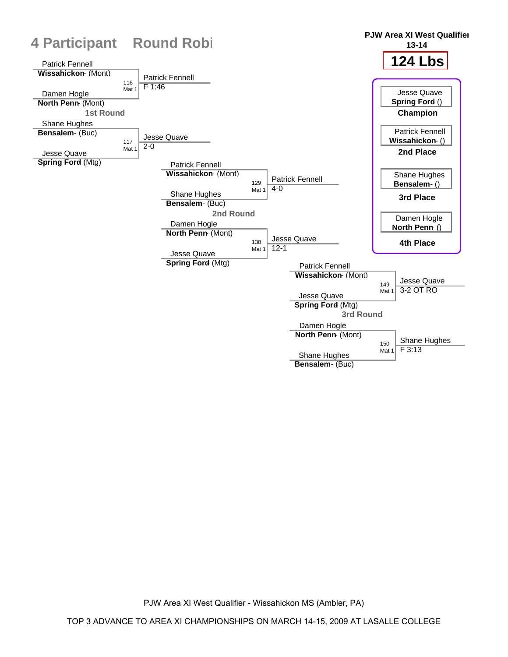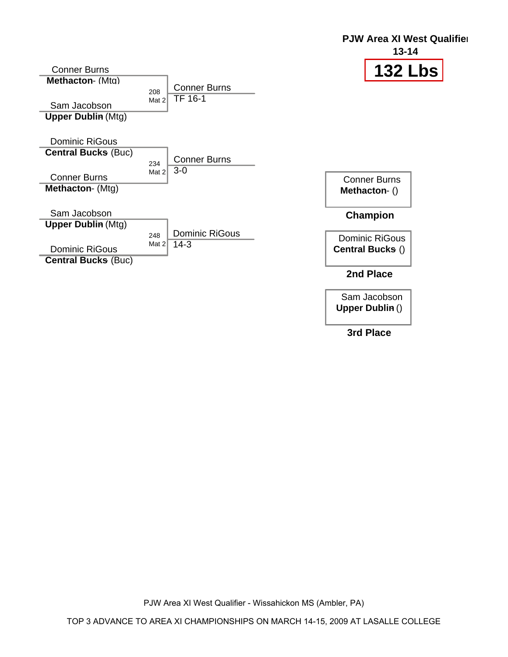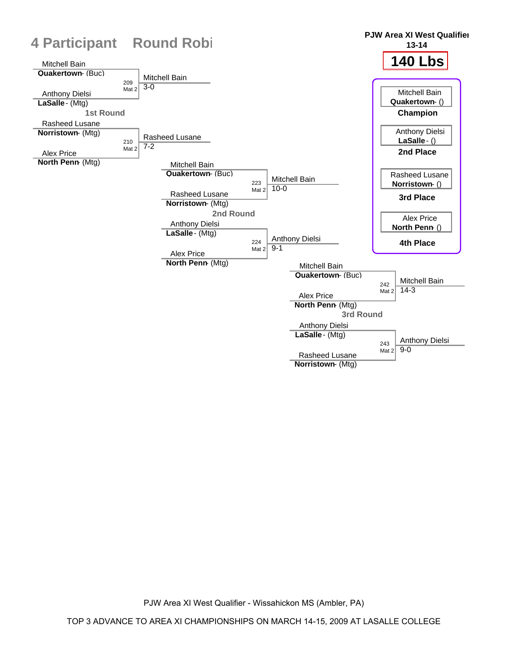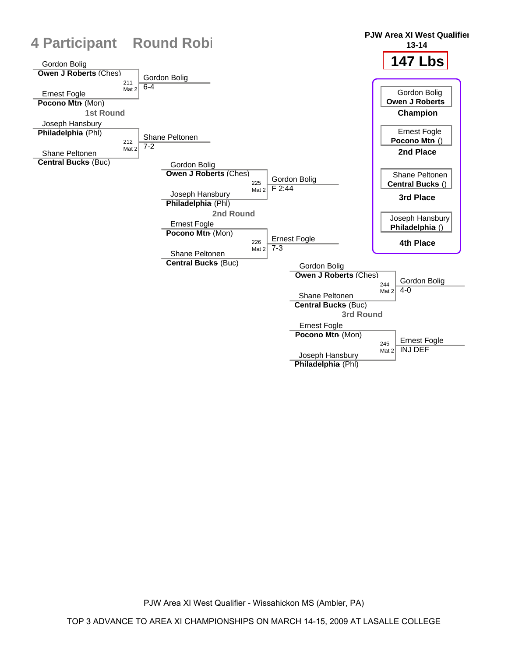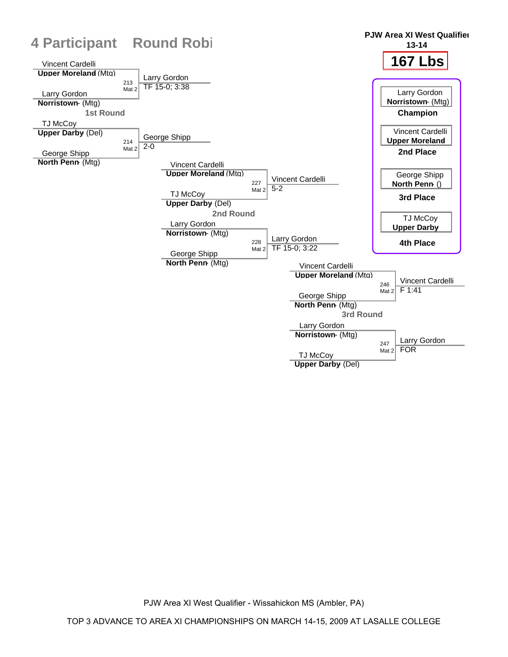